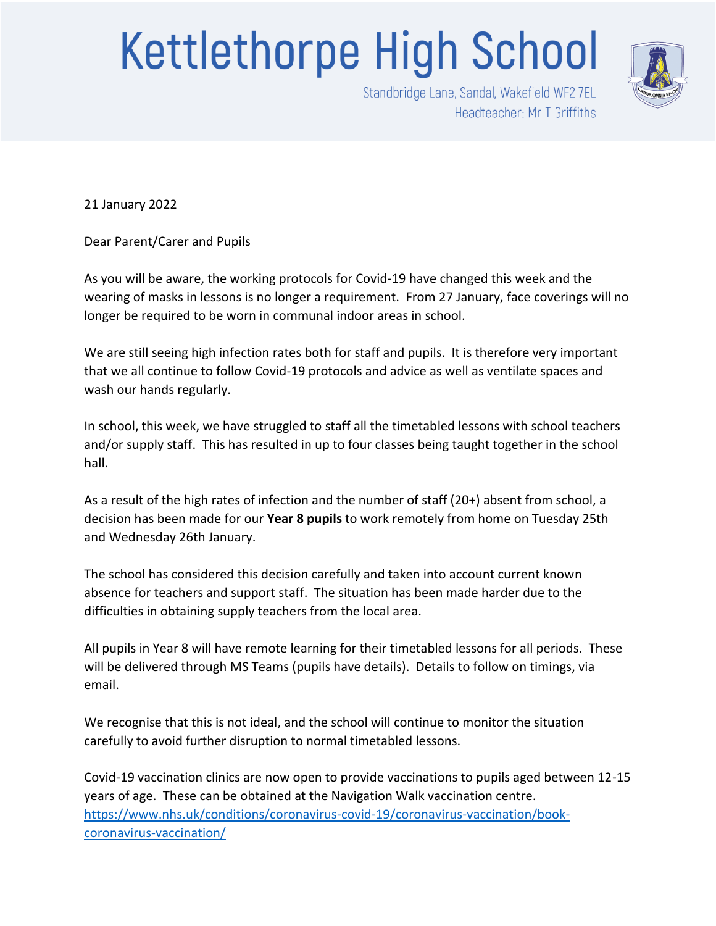## **Kettlethorpe High School**



Standbridge Lane, Sandal, Wakefield WF2 7EL Headteacher: Mr T Griffiths

21 January 2022

Dear Parent/Carer and Pupils

As you will be aware, the working protocols for Covid-19 have changed this week and the wearing of masks in lessons is no longer a requirement. From 27 January, face coverings will no longer be required to be worn in communal indoor areas in school.

We are still seeing high infection rates both for staff and pupils. It is therefore very important that we all continue to follow Covid-19 protocols and advice as well as ventilate spaces and wash our hands regularly.

In school, this week, we have struggled to staff all the timetabled lessons with school teachers and/or supply staff. This has resulted in up to four classes being taught together in the school hall.

As a result of the high rates of infection and the number of staff (20+) absent from school, a decision has been made for our **Year 8 pupils** to work remotely from home on Tuesday 25th and Wednesday 26th January.

The school has considered this decision carefully and taken into account current known absence for teachers and support staff. The situation has been made harder due to the difficulties in obtaining supply teachers from the local area.

All pupils in Year 8 will have remote learning for their timetabled lessons for all periods. These will be delivered through MS Teams (pupils have details). Details to follow on timings, via email.

We recognise that this is not ideal, and the school will continue to monitor the situation carefully to avoid further disruption to normal timetabled lessons.

Covid-19 vaccination clinics are now open to provide vaccinations to pupils aged between 12-15 years of age. These can be obtained at the Navigation Walk vaccination centre. [https://www.nhs.uk/conditions/coronavirus-covid-19/coronavirus-vaccination/book](https://www.nhs.uk/conditions/coronavirus-covid-19/coronavirus-vaccination/book-coronavirus-vaccination/)[coronavirus-vaccination/](https://www.nhs.uk/conditions/coronavirus-covid-19/coronavirus-vaccination/book-coronavirus-vaccination/)